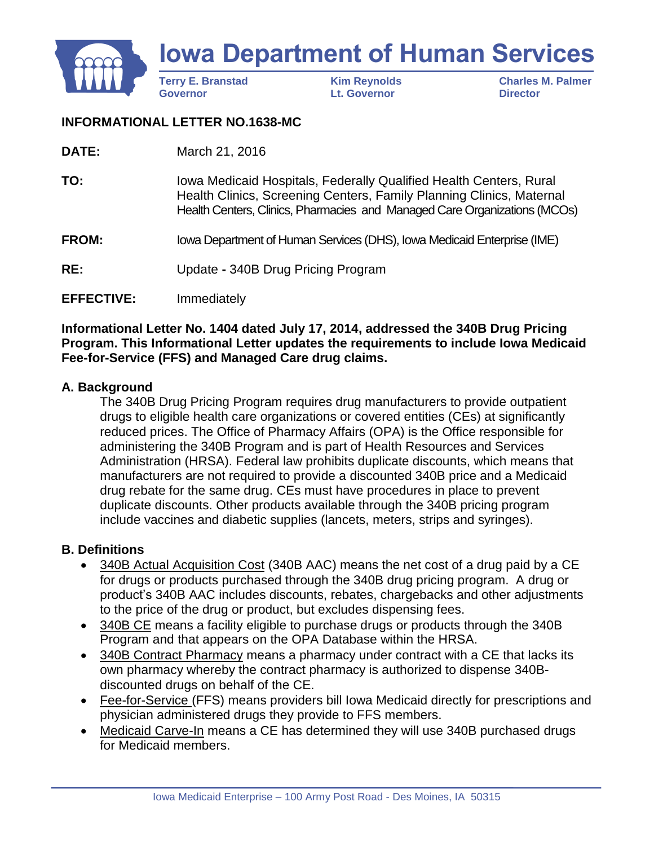

### **INFORMATIONAL LETTER NO.1638-MC**

| March 21, 2016 |
|----------------|

| TO:          | Iowa Medicaid Hospitals, Federally Qualified Health Centers, Rural<br>Health Clinics, Screening Centers, Family Planning Clinics, Maternal<br>Health Centers, Clinics, Pharmacies and Managed Care Organizations (MCOs) |
|--------------|-------------------------------------------------------------------------------------------------------------------------------------------------------------------------------------------------------------------------|
| <b>FROM:</b> | Iowa Department of Human Services (DHS), Iowa Medicaid Enterprise (IME)                                                                                                                                                 |

**RE:** Update **-** 340B Drug Pricing Program

### **EFFECTIVE:** Immediately

**Informational Letter No. 1404 dated July 17, 2014, addressed the 340B Drug Pricing Program. This Informational Letter updates the requirements to include Iowa Medicaid Fee-for-Service (FFS) and Managed Care drug claims.**

### **A. Background**

The 340B Drug Pricing Program requires drug manufacturers to provide outpatient drugs to eligible health care organizations or covered entities (CEs) at significantly reduced prices. The Office of Pharmacy Affairs (OPA) is the Office responsible for administering the 340B Program and is part of Health Resources and Services Administration (HRSA). Federal law prohibits duplicate discounts, which means that manufacturers are not required to provide a discounted 340B price and a Medicaid drug rebate for the same drug. CEs must have procedures in place to prevent duplicate discounts. Other products available through the 340B pricing program include vaccines and diabetic supplies (lancets, meters, strips and syringes).

### **B. Definitions**

- 340B Actual Acquisition Cost (340B AAC) means the net cost of a drug paid by a CE for drugs or products purchased through the 340B drug pricing program. A drug or product's 340B AAC includes discounts, rebates, chargebacks and other adjustments to the price of the drug or product, but excludes dispensing fees.
- 340B CE means a facility eligible to purchase drugs or products through the 340B Program and that appears on the OPA Database within the HRSA.
- 340B Contract Pharmacy means a pharmacy under contract with a CE that lacks its own pharmacy whereby the contract pharmacy is authorized to dispense 340Bdiscounted drugs on behalf of the CE.
- Fee-for-Service (FFS) means providers bill Iowa Medicaid directly for prescriptions and physician administered drugs they provide to FFS members.
- Medicaid Carve-In means a CE has determined they will use 340B purchased drugs for Medicaid members.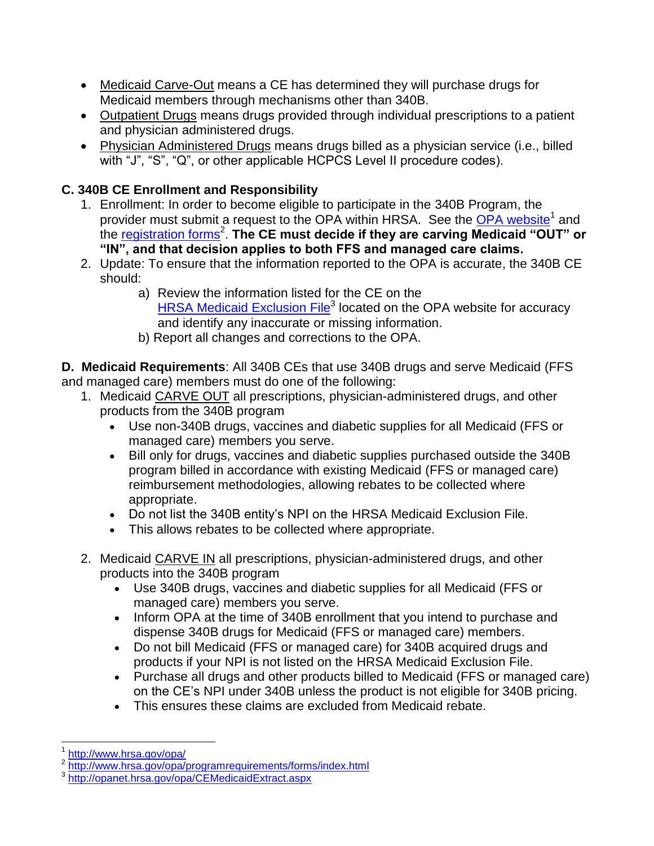- Medicaid Carve-Out means a CE has determined they will purchase drugs for Medicaid members through mechanisms other than 340B.
- Outpatient Drugs means drugs provided through individual prescriptions to a patient and physician administered drugs.
- Physician Administered Drugs means drugs billed as a physician service (i.e., billed with "J", "S", "Q", or other applicable HCPCS Level II procedure codes).

# **C. 340B CE Enrollment and Responsibility**

- 1. Enrollment: In order to become eligible to participate in the 340B Program, the provider must submit a request to the OPA within HRSA. See the [OPA website](http://www.hrsa.gov/opa/)<sup>1</sup> and .<br>the <u>[registration forms](http://www.hrsa.gov/opa/programrequirements/forms/index.html)</u><sup>2</sup>. The CE must decide if they are carving Medicaid "OUT" or **"IN", and that decision applies to both FFS and managed care claims.**
- 2. Update: To ensure that the information reported to the OPA is accurate, the 340B CE should:
	- a) Review the information listed for the CE on the [HRSA Medicaid Exclusion File](https://opanet.hrsa.gov/opa/CEMedicaidExtract.aspx)<sup>3</sup> located on the OPA website for accuracy and identify any inaccurate or missing information.
	- b) Report all changes and corrections to the OPA.

**D. Medicaid Requirements**: All 340B CEs that use 340B drugs and serve Medicaid (FFS and managed care) members must do one of the following:

- 1. Medicaid CARVE OUT all prescriptions, physician-administered drugs, and other products from the 340B program
	- Use non-340B drugs, vaccines and diabetic supplies for all Medicaid (FFS or managed care) members you serve.
	- Bill only for drugs, vaccines and diabetic supplies purchased outside the 340B program billed in accordance with existing Medicaid (FFS or managed care) reimbursement methodologies, allowing rebates to be collected where appropriate.
	- Do not list the 340B entity's NPI on the HRSA Medicaid Exclusion File.
	- This allows rebates to be collected where appropriate.
- 2. Medicaid CARVE IN all prescriptions, physician-administered drugs, and other products into the 340B program
	- Use 340B drugs, vaccines and diabetic supplies for all Medicaid (FFS or managed care) members you serve.
	- Inform OPA at the time of 340B enrollment that you intend to purchase and dispense 340B drugs for Medicaid (FFS or managed care) members.
	- Do not bill Medicaid (FFS or managed care) for 340B acquired drugs and products if your NPI is not listed on the HRSA Medicaid Exclusion File.
	- Purchase all drugs and other products billed to Medicaid (FFS or managed care) on the CE's NPI under 340B unless the product is not eligible for 340B pricing.
	- This ensures these claims are excluded from Medicaid rebate.

l

<sup>1</sup> <http://www.hrsa.gov/opa/>

<sup>2</sup> <http://www.hrsa.gov/opa/programrequirements/forms/index.html>

<sup>3</sup> <http://opanet.hrsa.gov/opa/CEMedicaidExtract.aspx>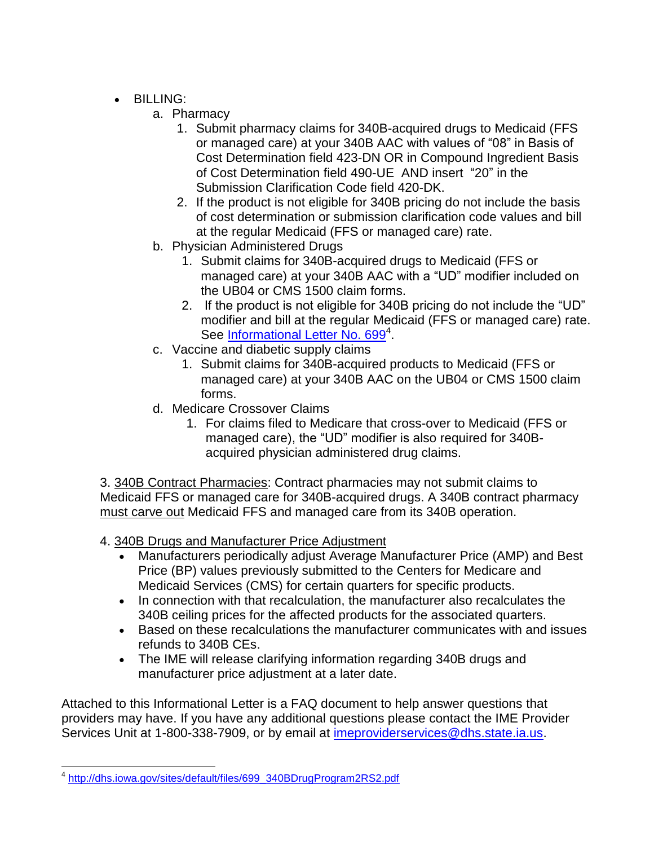- BILLING:
	- a. Pharmacy
		- 1. Submit pharmacy claims for 340B-acquired drugs to Medicaid (FFS or managed care) at your 340B AAC with values of "08" in Basis of Cost Determination field 423-DN OR in Compound Ingredient Basis of Cost Determination field 490-UE AND insert "20" in the Submission Clarification Code field 420-DK.
		- 2. If the product is not eligible for 340B pricing do not include the basis of cost determination or submission clarification code values and bill at the regular Medicaid (FFS or managed care) rate.
	- b. Physician Administered Drugs
		- 1. Submit claims for 340B-acquired drugs to Medicaid (FFS or managed care) at your 340B AAC with a "UD" modifier included on the UB04 or CMS 1500 claim forms.
		- 2. If the product is not eligible for 340B pricing do not include the "UD" modifier and bill at the regular Medicaid (FFS or managed care) rate. See [Informational Letter No. 699](http://dhs.iowa.gov/sites/default/files/699_340BDrugProgram2RS2.pdf)<sup>4</sup>.
	- c. Vaccine and diabetic supply claims
		- 1. Submit claims for 340B-acquired products to Medicaid (FFS or managed care) at your 340B AAC on the UB04 or CMS 1500 claim forms.
	- d. Medicare Crossover Claims
		- 1. For claims filed to Medicare that cross-over to Medicaid (FFS or managed care), the "UD" modifier is also required for 340Bacquired physician administered drug claims.

3. 340B Contract Pharmacies: Contract pharmacies may not submit claims to Medicaid FFS or managed care for 340B-acquired drugs. A 340B contract pharmacy must carve out Medicaid FFS and managed care from its 340B operation.

- 4. 340B Drugs and Manufacturer Price Adjustment
	- Manufacturers periodically adjust Average Manufacturer Price (AMP) and Best Price (BP) values previously submitted to the Centers for Medicare and Medicaid Services (CMS) for certain quarters for specific products.
	- In connection with that recalculation, the manufacturer also recalculates the 340B ceiling prices for the affected products for the associated quarters.
	- Based on these recalculations the manufacturer communicates with and issues refunds to 340B CEs.
	- The IME will release clarifying information regarding 340B drugs and manufacturer price adjustment at a later date.

Attached to this Informational Letter is a FAQ document to help answer questions that providers may have. If you have any additional questions please contact the IME Provider Services Unit at 1-800-338-7909, or by email at [imeproviderservices@dhs.state.ia.us.](mailto:imeproviderservices@dhs.state.ia.us)

l <sup>4</sup> [http://dhs.iowa.gov/sites/default/files/699\\_340BDrugProgram2RS2.pdf](http://dhs.iowa.gov/sites/default/files/699_340BDrugProgram2RS2.pdf)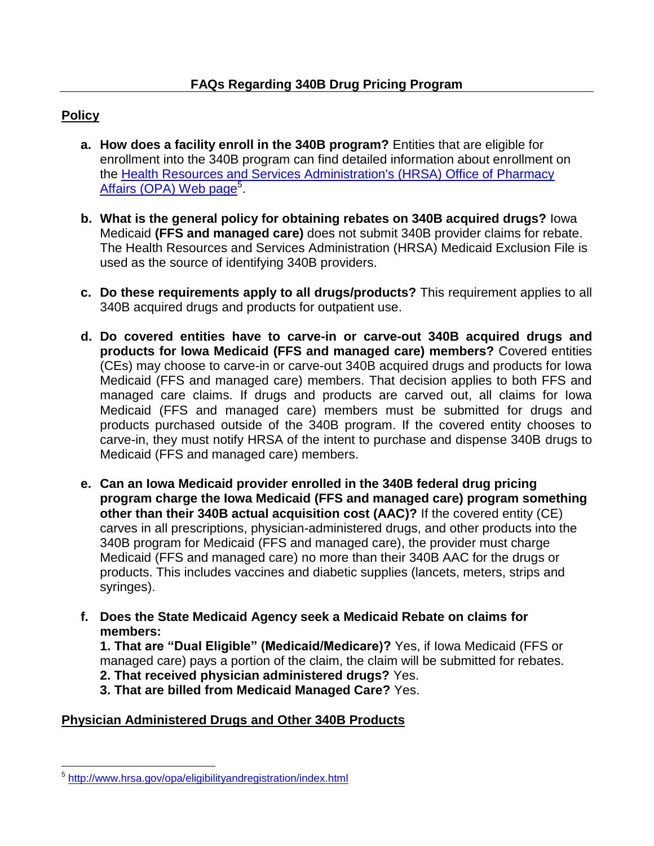## **Policy**

- **a. How does a facility enroll in the 340B program?** Entities that are eligible for enrollment into the 340B program can find detailed information about enrollment on the [Health Resources and Services Administration's \(HRSA\) Office of Pharmacy](http://www.hrsa.gov/opa/eligibilityandregistration/index.html)  [Affairs \(OPA\) Web page](http://www.hrsa.gov/opa/eligibilityandregistration/index.html)<sup>5</sup>.
- **b. What is the general policy for obtaining rebates on 340B acquired drugs?** Iowa Medicaid **(FFS and managed care)** does not submit 340B provider claims for rebate. The Health Resources and Services Administration (HRSA) Medicaid Exclusion File is used as the source of identifying 340B providers.
- **c. Do these requirements apply to all drugs/products?** This requirement applies to all 340B acquired drugs and products for outpatient use.
- **d. Do covered entities have to carve-in or carve-out 340B acquired drugs and products for Iowa Medicaid (FFS and managed care) members?** Covered entities (CEs) may choose to carve-in or carve-out 340B acquired drugs and products for Iowa Medicaid (FFS and managed care) members. That decision applies to both FFS and managed care claims. If drugs and products are carved out, all claims for Iowa Medicaid (FFS and managed care) members must be submitted for drugs and products purchased outside of the 340B program. If the covered entity chooses to carve-in, they must notify HRSA of the intent to purchase and dispense 340B drugs to Medicaid (FFS and managed care) members.
- **e. Can an Iowa Medicaid provider enrolled in the 340B federal drug pricing program charge the Iowa Medicaid (FFS and managed care) program something other than their 340B actual acquisition cost (AAC)?** If the covered entity (CE) carves in all prescriptions, physician-administered drugs, and other products into the 340B program for Medicaid (FFS and managed care), the provider must charge Medicaid (FFS and managed care) no more than their 340B AAC for the drugs or products. This includes vaccines and diabetic supplies (lancets, meters, strips and syringes).
- **f. Does the State Medicaid Agency seek a Medicaid Rebate on claims for members:**

**1. That are "Dual Eligible" (Medicaid/Medicare)?** Yes, if Iowa Medicaid (FFS or managed care) pays a portion of the claim, the claim will be submitted for rebates.

**2. That received physician administered drugs?** Yes.

**3. That are billed from Medicaid Managed Care?** Yes.

### **Physician Administered Drugs and Other 340B Products**

l <sup>5</sup> <http://www.hrsa.gov/opa/eligibilityandregistration/index.html>